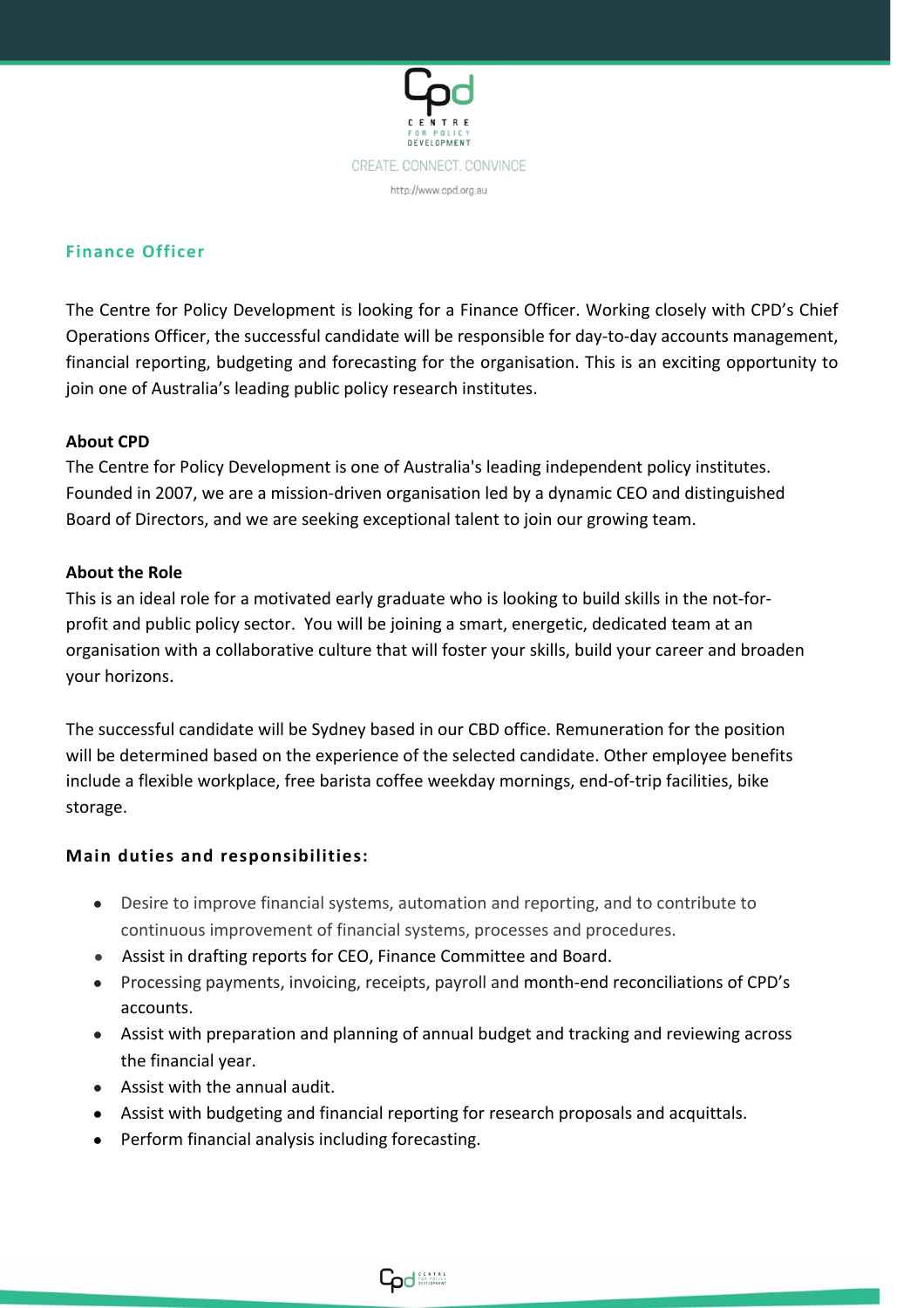

## **Finance Officer**

The Centre for Policy Development is looking for a Finance Officer. Working closely with CPD's Chief Operations Officer, the successful candidate will be responsible for day-to-day accounts management, financial reporting, budgeting and forecasting for the organisation. This is an exciting opportunity to join one of Australia's leading public policy research institutes.

## **About CPD**

The Centre for Policy Development is one of Australia's leading independent policy institutes. Founded in 2007, we are a mission-driven organisation led by a dynamic CEO and distinguished Board of Directors, and we are seeking exceptional talent to join our growing team.

## **About the Role**

This is an ideal role for a motivated early graduate who is looking to build skills in the not-forprofit and public policy sector. You will be joining a smart, energetic, dedicated team at an organisation with a collaborative culture that will foster your skills, build your career and broaden your horizons.

The successful candidate will be Sydney based in our CBD office. Remuneration for the position will be determined based on the experience of the selected candidate. Other employee benefits include a flexible workplace, free barista coffee weekday mornings, end-of-trip facilities, bike storage.

#### **Main duties and responsibilities:**

- Desire to improve financial systems, automation and reporting, and to contribute to continuous improvement of financial systems, processes and procedures.
- Assist in drafting reports for CEO, Finance Committee and Board.
- Processing payments, invoicing, receipts, payroll and month-end reconciliations of CPD's accounts.
- Assist with preparation and planning of annual budget and tracking and reviewing across the financial year.
- Assist with the annual audit.
- Assist with budgeting and financial reporting for research proposals and acquittals.
- Perform financial analysis including forecasting.